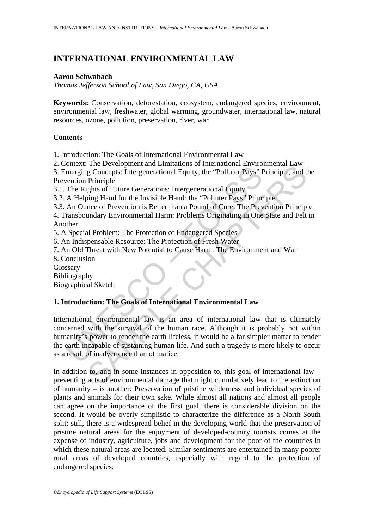# **INTERNATIONAL ENVIRONMENTAL LAW**

### **Aaron Schwabach**

*Thomas Jefferson School of Law, San Diego, CA, USA* 

**Keywords:** Conservation, deforestation, ecosystem, endangered species, environment, environmental law, freshwater, global warming, groundwater, international law, natural resources, ozone, pollution, preservation, river, war

### **Contents**

1. Introduction: The Goals of International Environmental Law

2. Context: The Development and Limitations of International Environmental Law

3. Emerging Concepts: Intergenerational Equity, the "Polluter Pays" Principle, and the Prevention Principle

3.1. The Rights of Future Generations: Intergenerational Equity

3.2. A Helping Hand for the Invisible Hand: the "Polluter Pays" Principle

3.3. An Ounce of Prevention is Better than a Pound of Cure: The Prevention Principle

4. Transboundary Environmental Harm: Problems Originating in One State and Felt in Another

5. A Special Problem: The Protection of Endangered Species

6. An Indispensable Resource: The Protection of Fresh Water

7. An Old Threat with New Potential to Cause Harm: The Environment and War

8. Conclusion

Glossary

Bibliography

Biographical Sketch

# **1. Introduction: The Goals of International Environmental Law**

Statza. The Development and Entimated and Content and Content and Content and Content The Rights of Future Generational Equity, the "Polluter Pays" Fermion Principle<br>The Rights of Future Generations: Intergenerational Equi The Bevelopment and Emmandows of methanolic Buylin and Law<br>
In Concepts: Intergenerational Equity, the "Polluter Pays" Principle, and t<br>
Principle<br>
Eghts of Future Generations: Intergenerational Equity<br>
Directions: Interge International environmental law is an area of international law that is ultimately concerned with the survival of the human race. Although it is probably not within humanity's power to render the earth lifeless, it would be a far simpler matter to render the earth incapable of sustaining human life. And such a tragedy is more likely to occur as a result of inadvertence than of malice.

In addition to, and in some instances in opposition to, this goal of international law – preventing acts of environmental damage that might cumulatively lead to the extinction of humanity – is another: Preservation of pristine wilderness and individual species of plants and animals for their own sake. While almost all nations and almost all people can agree on the importance of the first goal, there is considerable division on the second. It would be overly simplistic to characterize the difference as a North-South split; still, there is a widespread belief in the developing world that the preservation of pristine natural areas for the enjoyment of developed-country tourists comes at the expense of industry, agriculture, jobs and development for the poor of the countries in which these natural areas are located. Similar sentiments are entertained in many poorer rural areas of developed countries, especially with regard to the protection of endangered species.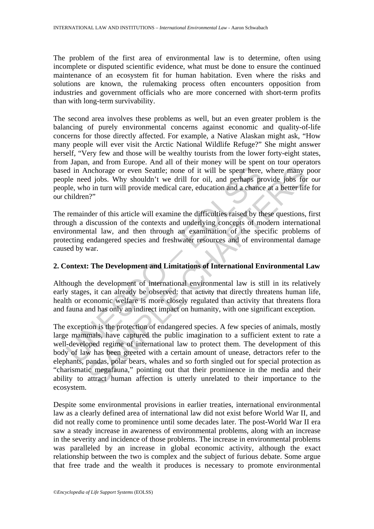The problem of the first area of environmental law is to determine, often using incomplete or disputed scientific evidence, what must be done to ensure the continued maintenance of an ecosystem fit for human habitation. Even where the risks and solutions are known, the rulemaking process often encounters opposition from industries and government officials who are more concerned with short-term profits than with long-term survivability.

The second area involves these problems as well, but an even greater problem is the balancing of purely environmental concerns against economic and quality-of-life concerns for those directly affected. For example, a Native Alaskan might ask, "How many people will ever visit the Arctic National Wildlife Refuge?" She might answer herself, "Very few and those will be wealthy tourists from the lower forty-eight states, from Japan, and from Europe. And all of their money will be spent on tour operators based in Anchorage or even Seattle; none of it will be spent here, where many poor people need jobs. Why shouldn't we drill for oil, and perhaps provide jobs for our people, who in turn will provide medical care, education and a chance at a better life for our children?"

d in Anchorage or even Seattle; none of it will be spent here,<br>ple need jobs. Why shouldn't we drill for oil, and perhaps pr<br>ple, who in turn will provide medical care, education and a chance<br>children?"<br>remainder of this a The remainder of this article will examine the difficulties raised by these questions, first through a discussion of the contexts and underlying concepts of modern international environmental law, and then through an examination of the specific problems of protecting endangered species and freshwater resources and of environmental damage caused by war.

### **2. Context: The Development and Limitations of International Environmental Law**

Although the development of international environmental law is still in its relatively early stages, it can already be observed: that activity that directly threatens human life, health or economic welfare is more closely regulated than activity that threatens flora and fauna and has only an indirect impact on humanity, with one significant exception.

when<br>anchorage or even Seattle; none of it will be spent here, where many p<br>d jobs. Why shouldn't we drill for oil, and perhaps provide jobs for<br>o in turn will provide medical care, education and a chance at a better life<br> The exception is the protection of endangered species. A few species of animals, mostly large mammals, have captured the public imagination to a sufficient extent to rate a well-developed regime of international law to protect them. The development of this body of law has been greeted with a certain amount of unease, detractors refer to the elephants, pandas, polar bears, whales and so forth singled out for special protection as "charismatic megafauna," pointing out that their prominence in the media and their ability to attract human affection is utterly unrelated to their importance to the ecosystem.

Despite some environmental provisions in earlier treaties, international environmental law as a clearly defined area of international law did not exist before World War II, and did not really come to prominence until some decades later. The post-World War II era saw a steady increase in awareness of environmental problems, along with an increase in the severity and incidence of those problems. The increase in environmental problems was paralleled by an increase in global economic activity, although the exact relationship between the two is complex and the subject of furious debate. Some argue that free trade and the wealth it produces is necessary to promote environmental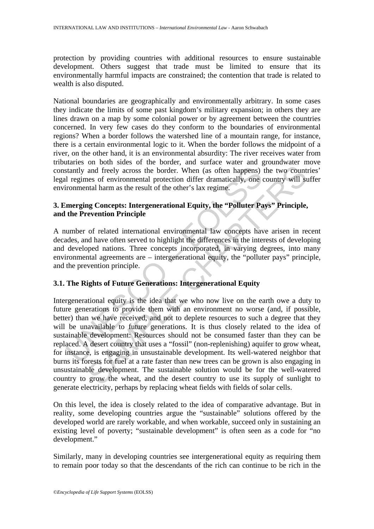protection by providing countries with additional resources to ensure sustainable development. Others suggest that trade must be limited to ensure that its environmentally harmful impacts are constrained; the contention that trade is related to wealth is also disputed.

National boundaries are geographically and environmentally arbitrary. In some cases they indicate the limits of some past kingdom's military expansion; in others they are lines drawn on a map by some colonial power or by agreement between the countries concerned. In very few cases do they conform to the boundaries of environmental regions? When a border follows the watershed line of a mountain range, for instance, there is a certain environmental logic to it. When the border follows the midpoint of a river, on the other hand, it is an environmental absurdity: The river receives water from tributaries on both sides of the border, and surface water and groundwater move constantly and freely across the border. When (as often happens) the two countries' legal regimes of environmental protection differ dramatically, one country will suffer environmental harm as the result of the other's lax regime.

## **3. Emerging Concepts: Intergenerational Equity, the "Polluter Pays" Principle, and the Prevention Principle**

A number of related international environmental law concepts have arisen in recent decades, and have often served to highlight the differences in the interests of developing and developed nations. Three concepts incorporated, in varying degrees, into many environmental agreements are – intergenerational equity, the "polluter pays" principle, and the prevention principle.

### **3.1. The Rights of Future Generations: Intergenerational Equity**

stantly and freely across the border. When (as often happens)<br>
I regimes of environmental protection differ dramatically, one<br>
ironmental harm as the result of the other's lax regime.<br> **Intergrame**<br> **Intergrame Concepts:** and freely across the border. When (as often happens) the two count<br>nes of environmental protection differ dramatically, one country will st<br>ntal harm as the result of the other's lax regime.<br>Sample Concepts: Intergenerati Intergenerational equity is the idea that we who now live on the earth owe a duty to future generations to provide them with an environment no worse (and, if possible, better) than we have received, and not to deplete resources to such a degree that they will be unavailable to future generations. It is thus closely related to the idea of sustainable development: Resources should not be consumed faster than they can be replaced. A desert country that uses a "fossil" (non-replenishing) aquifer to grow wheat, for instance, is engaging in unsustainable development. Its well-watered neighbor that burns its forests for fuel at a rate faster than new trees can be grown is also engaging in unsustainable development. The sustainable solution would be for the well-watered country to grow the wheat, and the desert country to use its supply of sunlight to generate electricity, perhaps by replacing wheat fields with fields of solar cells.

On this level, the idea is closely related to the idea of comparative advantage. But in reality, some developing countries argue the "sustainable" solutions offered by the developed world are rarely workable, and when workable, succeed only in sustaining an existing level of poverty; "sustainable development" is often seen as a code for "no development."

Similarly, many in developing countries see intergenerational equity as requiring them to remain poor today so that the descendants of the rich can continue to be rich in the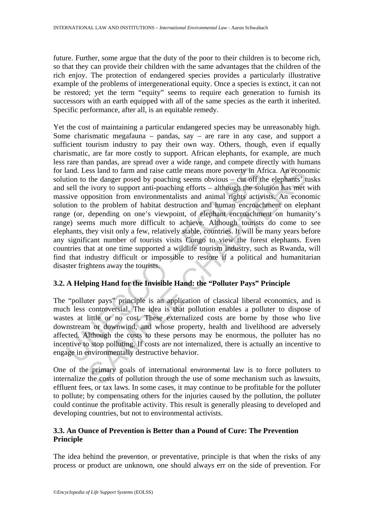future. Further, some argue that the duty of the poor to their children is to become rich, so that they can provide their children with the same advantages that the children of the rich enjoy. The protection of endangered species provides a particularly illustrative example of the problems of intergenerational equity. Once a species is extinct, it can not be restored; yet the term "equity" seems to require each generation to furnish its successors with an earth equipped with all of the same species as the earth it inherited. Specific performance, after all, is an equitable remedy.

land. Less land to farm and raise cattle means more poverty in A<br>tion to the danger posed by poaching seems obvious – cut off th<br>sell the ivory to support anti-poaching efforts – although the sol<br>sive opposition from envir issal and to farm and raise cattle means more poverty in Africa. An economic the danger posed by poaching seems obvious – cut off the elephants' by increasing efforts – although the solution has met proposition from enviro Yet the cost of maintaining a particular endangered species may be unreasonably high. Some charismatic megafauna – pandas, say – are rare in any case, and support a sufficient tourism industry to pay their own way. Others, though, even if equally charismatic, are far more costly to support. African elephants, for example, are much less rare than pandas, are spread over a wide range, and compete directly with humans for land. Less land to farm and raise cattle means more poverty in Africa. An economic solution to the danger posed by poaching seems obvious – cut off the elephants' tusks and sell the ivory to support anti-poaching efforts – although the solution has met with massive opposition from environmentalists and animal rights activists. An economic solution to the problem of habitat destruction and human encroachment on elephant range (or, depending on one's viewpoint, of elephant encroachment on humanity's range) seems much more difficult to achieve. Although tourists do come to see elephants, they visit only a few, relatively stable, countries. It will be many years before any significant number of tourists visits Congo to view the forest elephants. Even countries that at one time supported a wildlife tourism industry, such as Rwanda, will find that industry difficult or impossible to restore if a political and humanitarian disaster frightens away the tourists.

### **3.2. A Helping Hand for the Invisible Hand: the "Polluter Pays" Principle**

The "polluter pays" principle is an application of classical liberal economics, and is much less controversial. The idea is that pollution enables a polluter to dispose of wastes at little or no cost. These externalized costs are borne by those who live downstream or downwind, and whose property, health and livelihood are adversely affected. Although the costs to these persons may be enormous, the polluter has no incentive to stop polluting. If costs are not internalized, there is actually an incentive to engage in environmentally destructive behavior.

One of the primary goals of international environmental law is to force polluters to internalize the costs of pollution through the use of some mechanism such as lawsuits, effluent fees, or tax laws. In some cases, it may continue to be profitable for the polluter to pollute; by compensating others for the injuries caused by the pollution, the polluter could continue the profitable activity. This result is generally pleasing to developed and developing countries, but not to environmental activists.

### **3.3. An Ounce of Prevention is Better than a Pound of Cure: The Prevention Principle**

The idea behind the prevention, or preventative, principle is that when the risks of any process or product are unknown, one should always err on the side of prevention. For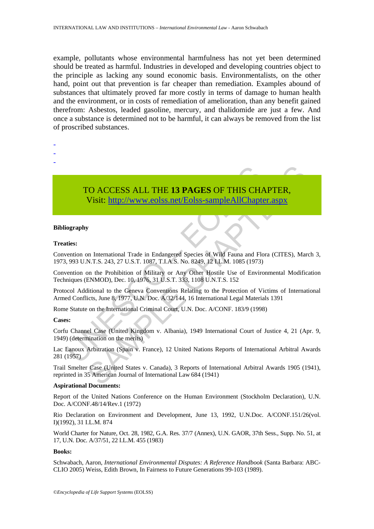example, pollutants whose environmental harmfulness has not yet been determined should be treated as harmful. Industries in developed and developing countries object to the principle as lacking any sound economic basis. Environmentalists, on the other hand, point out that prevention is far cheaper than remediation. Examples abound of substances that ultimately proved far more costly in terms of damage to human health and the environment, or in costs of remediation of amelioration, than any benefit gained therefrom: Asbestos, leaded gasoline, mercury, and thalidomide are just a few. And once a substance is determined not to be harmful, it can always be removed from the list of proscribed substances.

- -
- -
- -

TO ACCESS ALL THE 13 PAGES OF THIS CHA<br>
Visit: http://www.eolss.net/Eolss-sampleAllChapte<br>
visit: http://www.eolss.net/Eolss-sampleAllChapte<br>
ideas.net/Eolss-sampleAllChapte<br>
ideas.net in Endangered Species of Wild Fauna a TO ACCESS ALL THE 13 PAGES OF THIS CHAPTER,<br>
Visit: http://www.eolss.net/Eolss-sampleAllChapter.aspx<br>
w<br>
w<br>
m International Trade in Endangered Species of Wild Fauna and Flora (CITES), Mar<br>
N.T.S. 243, 27 U.S.T. 1087, T.L. TO ACCESS ALL THE **13 PAGES** OF THIS CHAPTER, Visit: http://www.eolss.net/Eolss-sampleAllChapter.aspx

#### **Bibliography**

#### **Treaties:**

Convention on International Trade in Endangered Species of Wild Fauna and Flora (CITES), March 3, 1973, 993 U.N.T.S. 243, 27 U.S.T. 1087, T.I.A.S. No. 8249, 12 I.L.M. 1085 (1973)

Convention on the Prohibition of Military or Any Other Hostile Use of Environmental Modification Techniques (ENMOD), Dec. 10, 1976, 31 U.S.T. 333, 1108 U.N.T.S. 152

Protocol Additional to the Geneva Conventions Relating to the Protection of Victims of International Armed Conflicts, June 8, 1977, U.N. Doc. A/32/144, 16 International Legal Materials 1391

Rome Statute on the International Criminal Court, U.N. Doc. A/CONF. 183/9 (1998)

### **Cases:**

Corfu Channel Case (United Kingdom v. Albania), 1949 International Court of Justice 4, 21 (Apr. 9, 1949) (determination on the merits)

Lac Lanoux Arbitration (Spain v. France), 12 United Nations Reports of International Arbitral Awards 281 (1957)

Trail Smelter Case (United States v. Canada), 3 Reports of International Arbitral Awards 1905 (1941), reprinted in 35 American Journal of International Law 684 (1941)

#### **Aspirational Documents:**

Report of the United Nations Conference on the Human Environment (Stockholm Declaration), U.N. Doc. A/CONF.48/14/Rev.1 (1972)

Rio Declaration on Environment and Development, June 13, 1992, U.N.Doc. A/CONF.151/26(vol. I)(1992), 31 I.L.M. 874

World Charter for Nature, Oct. 28, 1982, G.A. Res. 37/7 (Annex), U.N. GAOR, 37th Sess., Supp. No. 51, at 17, U.N. Doc. A/37/51, 22 I.L.M. 455 (1983)

#### **Books:**

Schwabach, Aaron, *International Environmental Disputes: A Reference Handbook* (Santa Barbara: ABC-CLIO 2005) Weiss, Edith Brown, In Fairness to Future Generations 99-103 (1989).